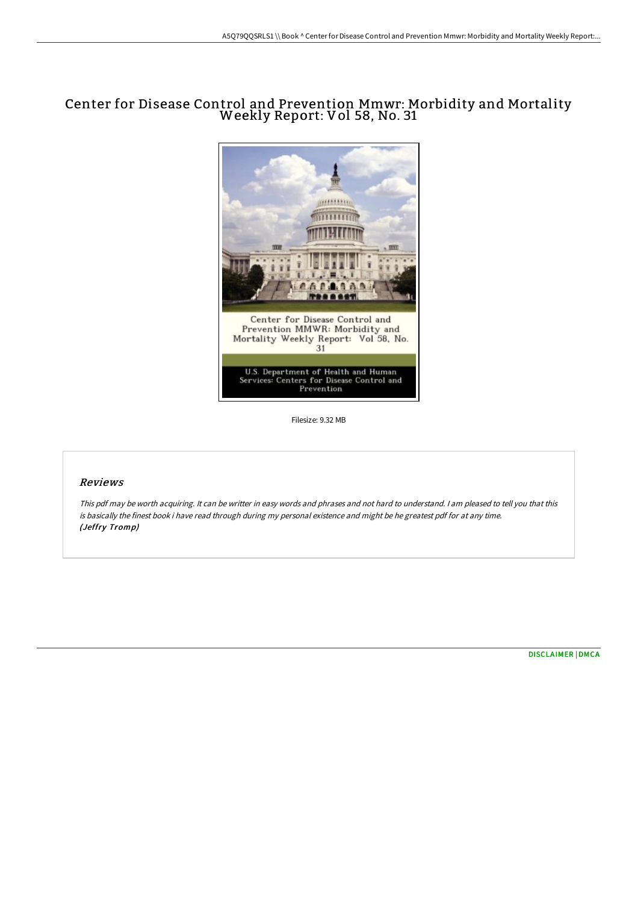# Center for Disease Control and Prevention Mmwr: Morbidity and Mortality Weekly Report: Vol 58, No. <sup>31</sup>



Filesize: 9.32 MB

### Reviews

This pdf may be worth acquiring. It can be writter in easy words and phrases and not hard to understand. <sup>I</sup> am pleased to tell you that this is basically the finest book i have read through during my personal existence and might be he greatest pdf for at any time. (Jeffry Tromp)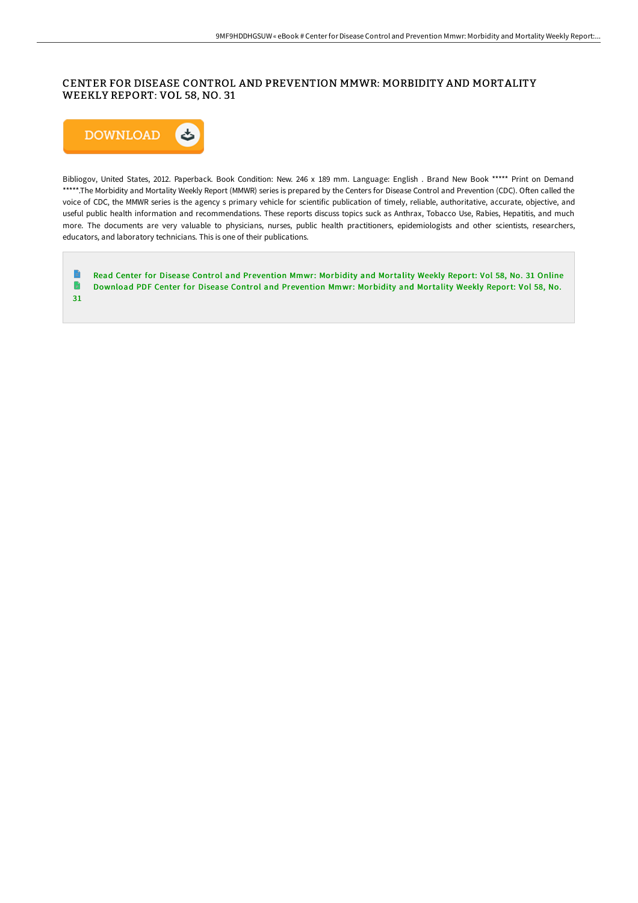## CENTER FOR DISEASE CONTROL AND PREVENTION MMWR: MORBIDITY AND MORTALITY WEEKLY REPORT: VOL 58, NO. 31



Bibliogov, United States, 2012. Paperback. Book Condition: New. 246 x 189 mm. Language: English . Brand New Book \*\*\*\*\* Print on Demand \*\*\*\*\*.The Morbidity and Mortality Weekly Report (MMWR) series is prepared by the Centers for Disease Control and Prevention (CDC). Often called the voice of CDC, the MMWR series is the agency s primary vehicle for scientific publication of timely, reliable, authoritative, accurate, objective, and useful public health information and recommendations. These reports discuss topics suck as Anthrax, Tobacco Use, Rabies, Hepatitis, and much more. The documents are very valuable to physicians, nurses, public health practitioners, epidemiologists and other scientists, researchers, educators, and laboratory technicians. This is one of their publications.

 $\begin{array}{c} \blacksquare \end{array}$ Read Center for Disease Control and [Prevention](http://bookera.tech/center-for-disease-control-and-prevention-mmwr-m-11.html) Mmwr: Morbidity and Mortality Weekly Report: Vol 58, No. 31 Online  $\blacksquare$ Download PDF Center for Disease Control and [Prevention](http://bookera.tech/center-for-disease-control-and-prevention-mmwr-m-11.html) Mmwr: Morbidity and Mortality Weekly Report: Vol 58, No. 31